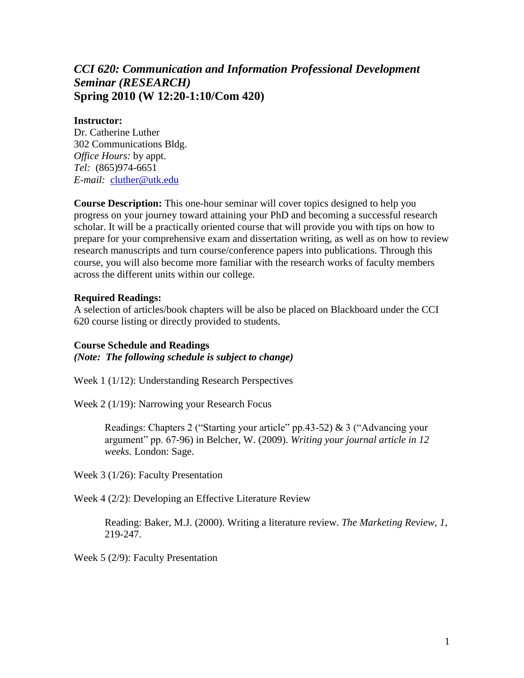# *CCI 620: Communication and Information Professional Development Seminar (RESEARCH)* **Spring 2010 (W 12:20-1:10/Com 420)**

#### **Instructor:**

Dr. Catherine Luther 302 Communications Bldg. *Office Hours:* by appt. *Tel:* (865)974-6651 *E-mail:* [cluther@utk.edu](mailto:cluther@utk.edu)

**Course Description:** This one-hour seminar will cover topics designed to help you progress on your journey toward attaining your PhD and becoming a successful research scholar. It will be a practically oriented course that will provide you with tips on how to prepare for your comprehensive exam and dissertation writing, as well as on how to review research manuscripts and turn course/conference papers into publications. Through this course, you will also become more familiar with the research works of faculty members across the different units within our college.

#### **Required Readings:**

A selection of articles/book chapters will be also be placed on Blackboard under the CCI 620 course listing or directly provided to students.

#### **Course Schedule and Readings**

*(Note: The following schedule is subject to change)*

Week 1 (1/12): Understanding Research Perspectives

Week 2 (1/19): Narrowing your Research Focus

Readings: Chapters 2 ("Starting your article" pp.43-52) & 3 ("Advancing your argument" pp. 67-96) in Belcher, W. (2009). *Writing your journal article in 12 weeks*. London: Sage.

Week 3 (1/26): Faculty Presentation

Week 4 (2/2): Developing an Effective Literature Review

Reading: Baker, M.J. (2000). Writing a literature review. *The Marketing Review*, *1*, 219-247.

Week 5 (2/9): Faculty Presentation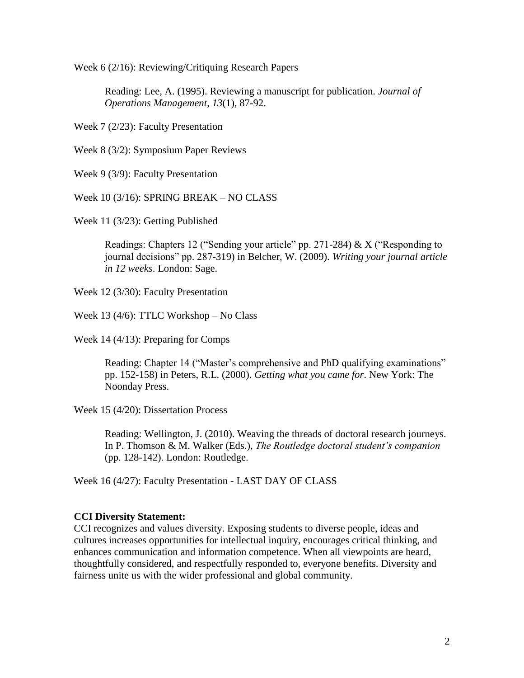Week 6 (2/16): Reviewing/Critiquing Research Papers

Reading: Lee, A. (1995). Reviewing a manuscript for publication. *Journal of Operations Management*, *13*(1), 87-92.

Week 7 (2/23): Faculty Presentation

Week 8 (3/2): Symposium Paper Reviews

Week 9 (3/9): Faculty Presentation

Week 10 (3/16): SPRING BREAK – NO CLASS

Week 11 (3/23): Getting Published

Readings: Chapters 12 ("Sending your article" pp. 271-284) & X ("Responding to journal decisions" pp. 287-319) in Belcher, W. (2009). *Writing your journal article in 12 weeks*. London: Sage.

Week 12 (3/30): Faculty Presentation

Week 13 (4/6): TTLC Workshop – No Class

Week 14 (4/13): Preparing for Comps

Reading: Chapter 14 ("Master's comprehensive and PhD qualifying examinations" pp. 152-158) in Peters, R.L. (2000). *Getting what you came for*. New York: The Noonday Press.

Week 15 (4/20): Dissertation Process

Reading: Wellington, J. (2010). Weaving the threads of doctoral research journeys. In P. Thomson & M. Walker (Eds.), *The Routledge doctoral student's companion* (pp. 128-142). London: Routledge.

Week 16 (4/27): Faculty Presentation - LAST DAY OF CLASS

### **CCI Diversity Statement:**

CCI recognizes and values diversity. Exposing students to diverse people, ideas and cultures increases opportunities for intellectual inquiry, encourages critical thinking, and enhances communication and information competence. When all viewpoints are heard, thoughtfully considered, and respectfully responded to, everyone benefits. Diversity and fairness unite us with the wider professional and global community.